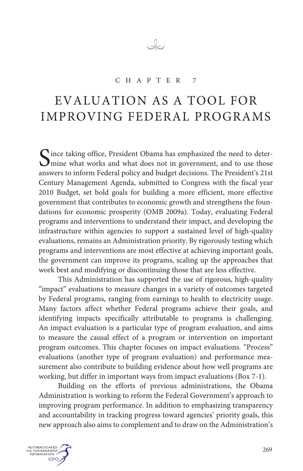# نطما

#### CHAPTER 7

## EVALUATION AS A TOOL FOR IMPROVING FEDERAL PROGRAMS

 $\bigcap$  ince taking office, President Obama has emphasized the need to deter- $\bigcup$  mine what works and what does not in government, and to use those answers to inform Federal policy and budget decisions. The President's 21st Century Management Agenda, submitted to Congress with the fiscal year 2010 Budget, set bold goals for building a more efficient, more effective government that contributes to economic growth and strengthens the foundations for economic prosperity (OMB 2009a). Today, evaluating Federal programs and interventions to understand their impact, and developing the infrastructure within agencies to support a sustained level of high-quality evaluations, remains an Administration priority. By rigorously testing which programs and interventions are most effective at achieving important goals, the government can improve its programs, scaling up the approaches that work best and modifying or discontinuing those that are less effective.

This Administration has supported the use of rigorous, high-quality "impact" evaluations to measure changes in a variety of outcomes targeted by Federal programs, ranging from earnings to health to electricity usage. Many factors affect whether Federal programs achieve their goals, and identifying impacts specifically attributable to programs is challenging. An impact evaluation is a particular type of program evaluation, and aims to measure the causal effect of a program or intervention on important program outcomes. This chapter focuses on impact evaluations. "Process" evaluations (another type of program evaluation) and performance measurement also contribute to building evidence about how well programs are working, but differ in important ways from impact evaluations (Box 7-1).

Building on the efforts of previous administrations, the Obama Administration is working to reform the Federal Government's approach to improving program performance. In addition to emphasizing transparency and accountability in tracking progress toward agencies' priority goals, this new approach also aims to complement and to draw on the Administration's

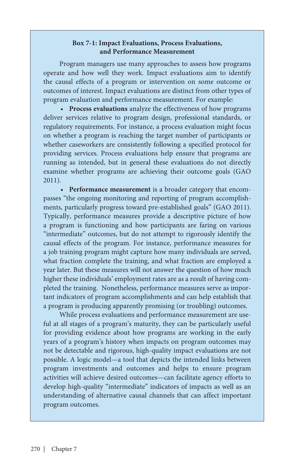#### **Box 7-1: Impact Evaluations, Process Evaluations, and Performance Measurement**

Program managers use many approaches to assess how programs operate and how well they work. Impact evaluations aim to identify the causal effects of a program or intervention on some outcome or outcomes of interest. Impact evaluations are distinct from other types of program evaluation and performance measurement. For example:

• **Process evaluations** analyze the effectiveness of how programs deliver services relative to program design, professional standards, or regulatory requirements. For instance, a process evaluation might focus on whether a program is reaching the target number of participants or whether caseworkers are consistently following a specified protocol for providing services. Process evaluations help ensure that programs are running as intended, but in general these evaluations do not directly examine whether programs are achieving their outcome goals (GAO 2011).

• **Performance measurement** is a broader category that encompasses "the ongoing monitoring and reporting of program accomplishments, particularly progress toward pre-established goals" (GAO 2011). Typically, performance measures provide a descriptive picture of how a program is functioning and how participants are faring on various "intermediate" outcomes, but do not attempt to rigorously identify the causal effects of the program. For instance, performance measures for a job training program might capture how many individuals are served, what fraction complete the training, and what fraction are employed a year later. But these measures will not answer the question of how much higher these individuals' employment rates are as a result of having completed the training. Nonetheless, performance measures serve as important indicators of program accomplishments and can help establish that a program is producing apparently promising (or troubling) outcomes.

While process evaluations and performance measurement are useful at all stages of a program's maturity, they can be particularly useful for providing evidence about how programs are working in the early years of a program's history when impacts on program outcomes may not be detectable and rigorous, high-quality impact evaluations are not possible. A logic model—a tool that depicts the intended links between program investments and outcomes and helps to ensure program activities will achieve desired outcomes—can facilitate agency efforts to develop high-quality "intermediate" indicators of impacts as well as an understanding of alternative causal channels that can affect important program outcomes.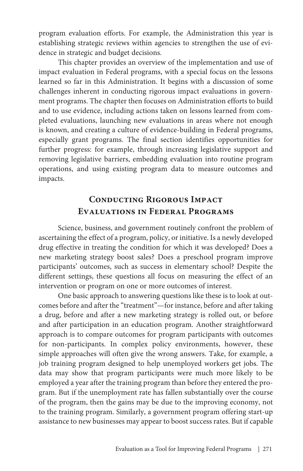program evaluation efforts. For example, the Administration this year is establishing strategic reviews within agencies to strengthen the use of evidence in strategic and budget decisions.

This chapter provides an overview of the implementation and use of impact evaluation in Federal programs, with a special focus on the lessons learned so far in this Administration. It begins with a discussion of some challenges inherent in conducting rigorous impact evaluations in government programs. The chapter then focuses on Administration efforts to build and to use evidence, including actions taken on lessons learned from completed evaluations, launching new evaluations in areas where not enough is known, and creating a culture of evidence-building in Federal programs, especially grant programs. The final section identifies opportunities for further progress: for example, through increasing legislative support and removing legislative barriers, embedding evaluation into routine program operations, and using existing program data to measure outcomes and impacts.

## **Conducting Rigorous Impact Evaluations in Federal Programs**

Science, business, and government routinely confront the problem of ascertaining the effect of a program, policy, or initiative. Is a newly developed drug effective in treating the condition for which it was developed? Does a new marketing strategy boost sales? Does a preschool program improve participants' outcomes, such as success in elementary school? Despite the different settings, these questions all focus on measuring the effect of an intervention or program on one or more outcomes of interest.

One basic approach to answering questions like these is to look at outcomes before and after the "treatment"—for instance, before and after taking a drug, before and after a new marketing strategy is rolled out, or before and after participation in an education program. Another straightforward approach is to compare outcomes for program participants with outcomes for non-participants. In complex policy environments, however, these simple approaches will often give the wrong answers. Take, for example, a job training program designed to help unemployed workers get jobs. The data may show that program participants were much more likely to be employed a year after the training program than before they entered the program. But if the unemployment rate has fallen substantially over the course of the program, then the gains may be due to the improving economy, not to the training program. Similarly, a government program offering start-up assistance to new businesses may appear to boost success rates. But if capable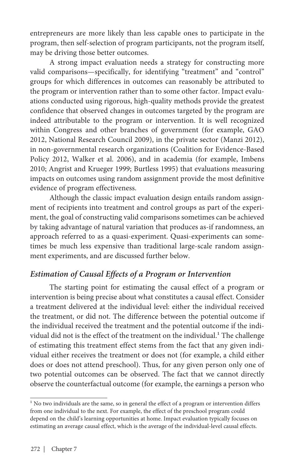entrepreneurs are more likely than less capable ones to participate in the program, then self-selection of program participants, not the program itself, may be driving those better outcomes.

A strong impact evaluation needs a strategy for constructing more valid comparisons—specifically, for identifying "treatment" and "control" groups for which differences in outcomes can reasonably be attributed to the program or intervention rather than to some other factor. Impact evaluations conducted using rigorous, high-quality methods provide the greatest confidence that observed changes in outcomes targeted by the program are indeed attributable to the program or intervention. It is well recognized within Congress and other branches of government (for example, GAO 2012, National Research Council 2009), in the private sector (Manzi 2012), in non-governmental research organizations (Coalition for Evidence-Based Policy 2012, Walker et al. 2006), and in academia (for example, Imbens 2010; Angrist and Krueger 1999; Burtless 1995) that evaluations measuring impacts on outcomes using random assignment provide the most definitive evidence of program effectiveness.

Although the classic impact evaluation design entails random assignment of recipients into treatment and control groups as part of the experiment, the goal of constructing valid comparisons sometimes can be achieved by taking advantage of natural variation that produces as-if randomness, an approach referred to as a quasi-experiment. Quasi-experiments can sometimes be much less expensive than traditional large-scale random assignment experiments, and are discussed further below.

#### *Estimation of Causal Effects of a Program or Intervention*

The starting point for estimating the causal effect of a program or intervention is being precise about what constitutes a causal effect. Consider a treatment delivered at the individual level: either the individual received the treatment, or did not. The difference between the potential outcome if the individual received the treatment and the potential outcome if the individual did not is the effect of the treatment on the individual.<sup>1</sup> The challenge of estimating this treatment effect stems from the fact that any given individual either receives the treatment or does not (for example, a child either does or does not attend preschool). Thus, for any given person only one of two potential outcomes can be observed. The fact that we cannot directly observe the counterfactual outcome (for example, the earnings a person who

<sup>&</sup>lt;sup>1</sup> No two individuals are the same, so in general the effect of a program or intervention differs from one individual to the next. For example, the effect of the preschool program could depend on the child's learning opportunities at home. Impact evaluation typically focuses on estimating an average causal effect, which is the average of the individual-level causal effects.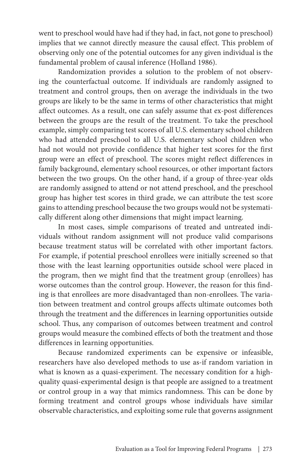went to preschool would have had if they had, in fact, not gone to preschool) implies that we cannot directly measure the causal effect. This problem of observing only one of the potential outcomes for any given individual is the fundamental problem of causal inference (Holland 1986).

Randomization provides a solution to the problem of not observing the counterfactual outcome. If individuals are randomly assigned to treatment and control groups, then on average the individuals in the two groups are likely to be the same in terms of other characteristics that might affect outcomes. As a result, one can safely assume that ex-post differences between the groups are the result of the treatment. To take the preschool example, simply comparing test scores of all U.S. elementary school children who had attended preschool to all U.S. elementary school children who had not would not provide confidence that higher test scores for the first group were an effect of preschool. The scores might reflect differences in family background, elementary school resources, or other important factors between the two groups. On the other hand, if a group of three-year olds are randomly assigned to attend or not attend preschool, and the preschool group has higher test scores in third grade, we can attribute the test score gains to attending preschool because the two groups would not be systematically different along other dimensions that might impact learning.

In most cases, simple comparisons of treated and untreated individuals without random assignment will not produce valid comparisons because treatment status will be correlated with other important factors. For example, if potential preschool enrollees were initially screened so that those with the least learning opportunities outside school were placed in the program, then we might find that the treatment group (enrollees) has worse outcomes than the control group. However, the reason for this finding is that enrollees are more disadvantaged than non-enrollees. The variation between treatment and control groups affects ultimate outcomes both through the treatment and the differences in learning opportunities outside school. Thus, any comparison of outcomes between treatment and control groups would measure the combined effects of both the treatment and those differences in learning opportunities.

Because randomized experiments can be expensive or infeasible, researchers have also developed methods to use as-if random variation in what is known as a quasi-experiment. The necessary condition for a highquality quasi-experimental design is that people are assigned to a treatment or control group in a way that mimics randomness. This can be done by forming treatment and control groups whose individuals have similar observable characteristics, and exploiting some rule that governs assignment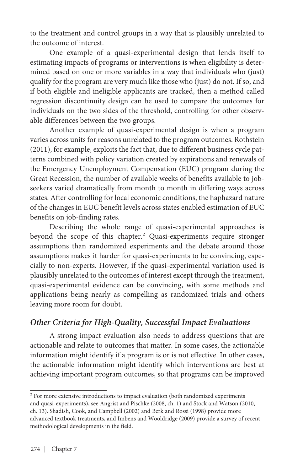to the treatment and control groups in a way that is plausibly unrelated to the outcome of interest.

One example of a quasi-experimental design that lends itself to estimating impacts of programs or interventions is when eligibility is determined based on one or more variables in a way that individuals who (just) qualify for the program are very much like those who (just) do not. If so, and if both eligible and ineligible applicants are tracked, then a method called regression discontinuity design can be used to compare the outcomes for individuals on the two sides of the threshold, controlling for other observable differences between the two groups.

Another example of quasi-experimental design is when a program varies across units for reasons unrelated to the program outcomes. Rothstein (2011), for example, exploits the fact that, due to different business cycle patterns combined with policy variation created by expirations and renewals of the Emergency Unemployment Compensation (EUC) program during the Great Recession, the number of available weeks of benefits available to jobseekers varied dramatically from month to month in differing ways across states. After controlling for local economic conditions, the haphazard nature of the changes in EUC benefit levels across states enabled estimation of EUC benefits on job-finding rates.

Describing the whole range of quasi-experimental approaches is beyond the scope of this chapter.<sup>2</sup> Quasi-experiments require stronger assumptions than randomized experiments and the debate around those assumptions makes it harder for quasi-experiments to be convincing, especially to non-experts. However, if the quasi-experimental variation used is plausibly unrelated to the outcomes of interest except through the treatment, quasi-experimental evidence can be convincing, with some methods and applications being nearly as compelling as randomized trials and others leaving more room for doubt.

#### *Other Criteria for High-Quality, Successful Impact Evaluations*

A strong impact evaluation also needs to address questions that are actionable and relate to outcomes that matter. In some cases, the actionable information might identify if a program is or is not effective. In other cases, the actionable information might identify which interventions are best at achieving important program outcomes, so that programs can be improved

<sup>&</sup>lt;sup>2</sup> For more extensive introductions to impact evaluation (both randomized experiments and quasi-experiments), see Angrist and Pischke (2008, ch. 1) and Stock and Watson (2010, ch. 13). Shadish, Cook, and Campbell (2002) and Berk and Rossi (1998) provide more advanced textbook treatments, and Imbens and Wooldridge (2009) provide a survey of recent methodological developments in the field.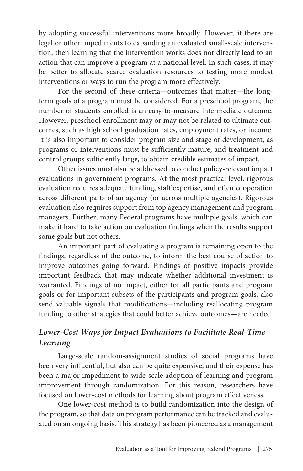by adopting successful interventions more broadly. However, if there are legal or other impediments to expanding an evaluated small-scale intervention, then learning that the intervention works does not directly lead to an action that can improve a program at a national level. In such cases, it may be better to allocate scarce evaluation resources to testing more modest interventions or ways to run the program more effectively.

For the second of these criteria—outcomes that matter—the longterm goals of a program must be considered. For a preschool program, the number of students enrolled is an easy-to-measure intermediate outcome. However, preschool enrollment may or may not be related to ultimate outcomes, such as high school graduation rates, employment rates, or income. It is also important to consider program size and stage of development, as programs or interventions must be sufficiently mature, and treatment and control groups sufficiently large, to obtain credible estimates of impact.

Other issues must also be addressed to conduct policy-relevant impact evaluations in government programs. At the most practical level, rigorous evaluation requires adequate funding, staff expertise, and often cooperation across different parts of an agency (or across multiple agencies). Rigorous evaluation also requires support from top agency management and program managers. Further, many Federal programs have multiple goals, which can make it hard to take action on evaluation findings when the results support some goals but not others.

An important part of evaluating a program is remaining open to the findings, regardless of the outcome, to inform the best course of action to improve outcomes going forward. Findings of positive impacts provide important feedback that may indicate whether additional investment is warranted. Findings of no impact, either for all participants and program goals or for important subsets of the participants and program goals, also send valuable signals that modifications—including reallocating program funding to other strategies that could better achieve outcomes—are needed.

## *Lower-Cost Ways for Impact Evaluations to Facilitate Real-Time Learning*

Large-scale random-assignment studies of social programs have been very influential, but also can be quite expensive, and their expense has been a major impediment to wide-scale adoption of learning and program improvement through randomization. For this reason, researchers have focused on lower-cost methods for learning about program effectiveness.

One lower-cost method is to build randomization into the design of the program, so that data on program performance can be tracked and evaluated on an ongoing basis. This strategy has been pioneered as a management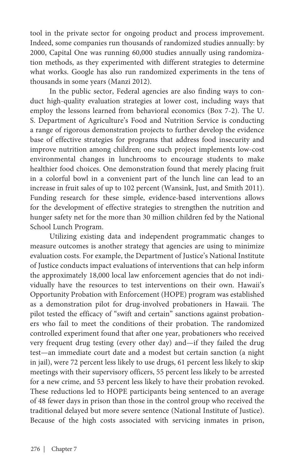tool in the private sector for ongoing product and process improvement. Indeed, some companies run thousands of randomized studies annually: by 2000, Capital One was running 60,000 studies annually using randomization methods, as they experimented with different strategies to determine what works. Google has also run randomized experiments in the tens of thousands in some years (Manzi 2012).

In the public sector, Federal agencies are also finding ways to conduct high-quality evaluation strategies at lower cost, including ways that employ the lessons learned from behavioral economics (Box 7-2). The U. S. Department of Agriculture's Food and Nutrition Service is conducting a range of rigorous demonstration projects to further develop the evidence base of effective strategies for programs that address food insecurity and improve nutrition among children; one such project implements low-cost environmental changes in lunchrooms to encourage students to make healthier food choices. One demonstration found that merely placing fruit in a colorful bowl in a convenient part of the lunch line can lead to an increase in fruit sales of up to 102 percent (Wansink, Just, and Smith 2011). Funding research for these simple, evidence-based interventions allows for the development of effective strategies to strengthen the nutrition and hunger safety net for the more than 30 million children fed by the National School Lunch Program.

Utilizing existing data and independent programmatic changes to measure outcomes is another strategy that agencies are using to minimize evaluation costs. For example, the Department of Justice's National Institute of Justice conducts impact evaluations of interventions that can help inform the approximately 18,000 local law enforcement agencies that do not individually have the resources to test interventions on their own. Hawaii's Opportunity Probation with Enforcement (HOPE) program was established as a demonstration pilot for drug-involved probationers in Hawaii. The pilot tested the efficacy of "swift and certain" sanctions against probationers who fail to meet the conditions of their probation. The randomized controlled experiment found that after one year, probationers who received very frequent drug testing (every other day) and—if they failed the drug test—an immediate court date and a modest but certain sanction (a night in jail), were 72 percent less likely to use drugs, 61 percent less likely to skip meetings with their supervisory officers, 55 percent less likely to be arrested for a new crime, and 53 percent less likely to have their probation revoked. These reductions led to HOPE participants being sentenced to an average of 48 fewer days in prison than those in the control group who received the traditional delayed but more severe sentence (National Institute of Justice). Because of the high costs associated with servicing inmates in prison,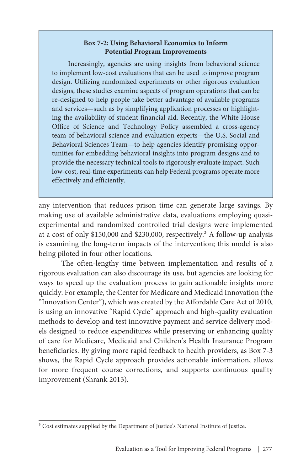#### **Box 7-2: Using Behavioral Economics to Inform Potential Program Improvements**

Increasingly, agencies are using insights from behavioral science to implement low-cost evaluations that can be used to improve program design. Utilizing randomized experiments or other rigorous evaluation designs, these studies examine aspects of program operations that can be re-designed to help people take better advantage of available programs and services—such as by simplifying application processes or highlighting the availability of student financial aid. Recently, the White House Office of Science and Technology Policy assembled a cross-agency team of behavioral science and evaluation experts—the U.S. Social and Behavioral Sciences Team—to help agencies identify promising opportunities for embedding behavioral insights into program designs and to provide the necessary technical tools to rigorously evaluate impact. Such low-cost, real-time experiments can help Federal programs operate more effectively and efficiently.

any intervention that reduces prison time can generate large savings. By making use of available administrative data, evaluations employing quasiexperimental and randomized controlled trial designs were implemented at a cost of only \$150,000 and \$230,000, respectively.<sup>3</sup> A follow-up analysis is examining the long-term impacts of the intervention; this model is also being piloted in four other locations.

 The often-lengthy time between implementation and results of a rigorous evaluation can also discourage its use, but agencies are looking for ways to speed up the evaluation process to gain actionable insights more quickly. For example, the Center for Medicare and Medicaid Innovation (the "Innovation Center"), which was created by the Affordable Care Act of 2010, is using an innovative "Rapid Cycle" approach and high-quality evaluation methods to develop and test innovative payment and service delivery models designed to reduce expenditures while preserving or enhancing quality of care for Medicare, Medicaid and Children's Health Insurance Program beneficiaries. By giving more rapid feedback to health providers, as Box 7-3 shows, the Rapid Cycle approach provides actionable information, allows for more frequent course corrections, and supports continuous quality improvement (Shrank 2013).

<sup>&</sup>lt;sup>3</sup> Cost estimates supplied by the Department of Justice's National Institute of Justice.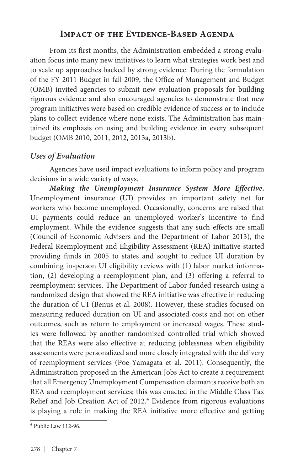#### **Impact of the Evidence-Based Agenda**

From its first months, the Administration embedded a strong evaluation focus into many new initiatives to learn what strategies work best and to scale up approaches backed by strong evidence. During the formulation of the FY 2011 Budget in fall 2009, the Office of Management and Budget (OMB) invited agencies to submit new evaluation proposals for building rigorous evidence and also encouraged agencies to demonstrate that new program initiatives were based on credible evidence of success or to include plans to collect evidence where none exists. The Administration has maintained its emphasis on using and building evidence in every subsequent budget (OMB 2010, 2011, 2012, 2013a, 2013b).

#### *Uses of Evaluation*

Agencies have used impact evaluations to inform policy and program decisions in a wide variety of ways.

*Making the Unemployment Insurance System More Effective.* Unemployment insurance (UI) provides an important safety net for workers who become unemployed. Occasionally, concerns are raised that UI payments could reduce an unemployed worker's incentive to find employment. While the evidence suggests that any such effects are small (Council of Economic Advisers and the Department of Labor 2013), the Federal Reemployment and Eligibility Assessment (REA) initiative started providing funds in 2005 to states and sought to reduce UI duration by combining in-person UI eligibility reviews with (1) labor market information, (2) developing a reemployment plan, and (3) offering a referral to reemployment services. The Department of Labor funded research using a randomized design that showed the REA initiative was effective in reducing the duration of UI (Benus et al. 2008). However, these studies focused on measuring reduced duration on UI and associated costs and not on other outcomes, such as return to employment or increased wages. These studies were followed by another randomized controlled trial which showed that the REAs were also effective at reducing joblessness when eligibility assessments were personalized and more closely integrated with the delivery of reemployment services (Poe-Yamagata et al. 2011). Consequently, the Administration proposed in the American Jobs Act to create a requirement that all Emergency Unemployment Compensation claimants receive both an REA and reemployment services; this was enacted in the Middle Class Tax Relief and Job Creation Act of 2012.<sup>4</sup> Evidence from rigorous evaluations is playing a role in making the REA initiative more effective and getting

<sup>4</sup> Public Law 112-96.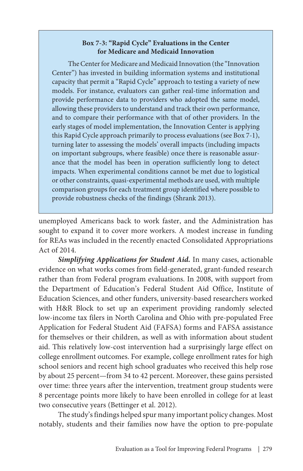#### **Box 7-3: "Rapid Cycle" Evaluations in the Center for Medicare and Medicaid Innovation**

The Center for Medicare and Medicaid Innovation (the "Innovation Center") has invested in building information systems and institutional capacity that permit a "Rapid Cycle" approach to testing a variety of new models. For instance, evaluators can gather real-time information and provide performance data to providers who adopted the same model, allowing these providers to understand and track their own performance, and to compare their performance with that of other providers. In the early stages of model implementation, the Innovation Center is applying this Rapid Cycle approach primarily to process evaluations (see Box 7-1), turning later to assessing the models' overall impacts (including impacts on important subgroups, where feasible) once there is reasonable assurance that the model has been in operation sufficiently long to detect impacts. When experimental conditions cannot be met due to logistical or other constraints, quasi-experimental methods are used, with multiple comparison groups for each treatment group identified where possible to provide robustness checks of the findings (Shrank 2013).

unemployed Americans back to work faster, and the Administration has sought to expand it to cover more workers. A modest increase in funding for REAs was included in the recently enacted Consolidated Appropriations Act of 2014.

*Simplifying Applications for Student Aid.* In many cases, actionable evidence on what works comes from field-generated, grant-funded research rather than from Federal program evaluations. In 2008, with support from the Department of Education's Federal Student Aid Office, Institute of Education Sciences, and other funders, university-based researchers worked with H&R Block to set up an experiment providing randomly selected low-income tax filers in North Carolina and Ohio with pre-populated Free Application for Federal Student Aid (FAFSA) forms and FAFSA assistance for themselves or their children, as well as with information about student aid. This relatively low-cost intervention had a surprisingly large effect on college enrollment outcomes. For example, college enrollment rates for high school seniors and recent high school graduates who received this help rose by about 25 percent—from 34 to 42 percent. Moreover, these gains persisted over time: three years after the intervention, treatment group students were 8 percentage points more likely to have been enrolled in college for at least two consecutive years (Bettinger et al. 2012).

The study's findings helped spur many important policy changes. Most notably, students and their families now have the option to pre-populate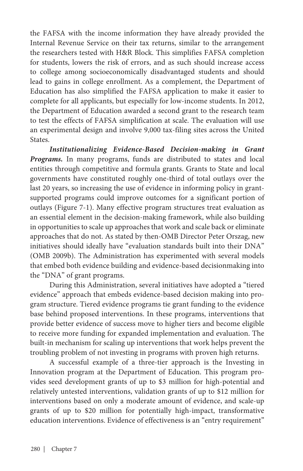the FAFSA with the income information they have already provided the Internal Revenue Service on their tax returns, similar to the arrangement the researchers tested with H&R Block. This simplifies FAFSA completion for students, lowers the risk of errors, and as such should increase access to college among socioeconomically disadvantaged students and should lead to gains in college enrollment. As a complement, the Department of Education has also simplified the FAFSA application to make it easier to complete for all applicants, but especially for low-income students. In 2012, the Department of Education awarded a second grant to the research team to test the effects of FAFSA simplification at scale. The evaluation will use an experimental design and involve 9,000 tax-filing sites across the United **States** 

*Institutionalizing Evidence-Based Decision-making in Grant Programs.* In many programs, funds are distributed to states and local entities through competitive and formula grants. Grants to State and local governments have constituted roughly one-third of total outlays over the last 20 years, so increasing the use of evidence in informing policy in grantsupported programs could improve outcomes for a significant portion of outlays (Figure 7-1). Many effective program structures treat evaluation as an essential element in the decision-making framework, while also building in opportunities to scale up approaches that work and scale back or eliminate approaches that do not. As stated by then-OMB Director Peter Orszag, new initiatives should ideally have "evaluation standards built into their DNA" (OMB 2009b). The Administration has experimented with several models that embed both evidence building and evidence-based decisionmaking into the "DNA" of grant programs.

During this Administration, several initiatives have adopted a "tiered evidence" approach that embeds evidence-based decision making into program structure. Tiered evidence programs tie grant funding to the evidence base behind proposed interventions. In these programs, interventions that provide better evidence of success move to higher tiers and become eligible to receive more funding for expanded implementation and evaluation. The built-in mechanism for scaling up interventions that work helps prevent the troubling problem of not investing in programs with proven high returns.

A successful example of a three-tier approach is the Investing in Innovation program at the Department of Education. This program provides seed development grants of up to \$3 million for high-potential and relatively untested interventions, validation grants of up to \$12 million for interventions based on only a moderate amount of evidence, and scale-up grants of up to \$20 million for potentially high-impact, transformative education interventions. Evidence of effectiveness is an "entry requirement"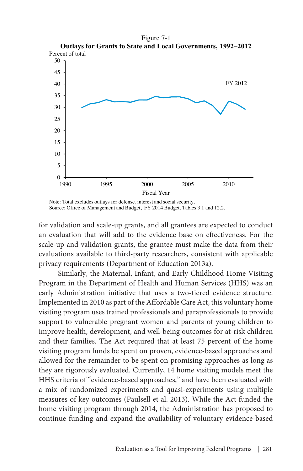

Note: Total excludes outlays for defense, interest and social security. Source: Office of Management and Budget, FY 2014 Budget, Tables 3.1 and 12.2.

for validation and scale-up grants, and all grantees are expected to conduct an evaluation that will add to the evidence base on effectiveness. For the scale-up and validation grants, the grantee must make the data from their evaluations available to third-party researchers, consistent with applicable privacy requirements (Department of Education 2013a).

Similarly, the Maternal, Infant, and Early Childhood Home Visiting Program in the Department of Health and Human Services (HHS) was an early Administration initiative that uses a two-tiered evidence structure. Implemented in 2010 as part of the Affordable Care Act, this voluntary home visiting program uses trained professionals and paraprofessionals to provide support to vulnerable pregnant women and parents of young children to improve health, development, and well-being outcomes for at-risk children and their families. The Act required that at least 75 percent of the home visiting program funds be spent on proven, evidence-based approaches and allowed for the remainder to be spent on promising approaches as long as they are rigorously evaluated. Currently, 14 home visiting models meet the HHS criteria of "evidence-based approaches," and have been evaluated with a mix of randomized experiments and quasi-experiments using multiple measures of key outcomes (Paulsell et al. 2013). While the Act funded the home visiting program through 2014, the Administration has proposed to continue funding and expand the availability of voluntary evidence-based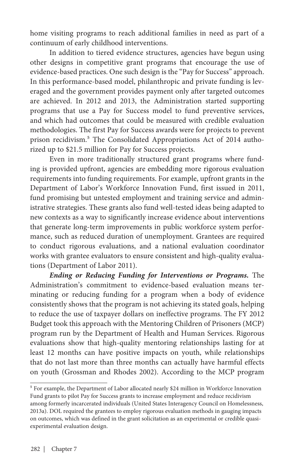home visiting programs to reach additional families in need as part of a continuum of early childhood interventions.

In addition to tiered evidence structures, agencies have begun using other designs in competitive grant programs that encourage the use of evidence-based practices. One such design is the "Pay for Success" approach. In this performance-based model, philanthropic and private funding is leveraged and the government provides payment only after targeted outcomes are achieved. In 2012 and 2013, the Administration started supporting programs that use a Pay for Success model to fund preventive services, and which had outcomes that could be measured with credible evaluation methodologies. The first Pay for Success awards were for projects to prevent prison recidivism.<sup>5</sup> The Consolidated Appropriations Act of 2014 authorized up to \$21.5 million for Pay for Success projects.

Even in more traditionally structured grant programs where funding is provided upfront, agencies are embedding more rigorous evaluation requirements into funding requirements. For example, upfront grants in the Department of Labor's Workforce Innovation Fund, first issued in 2011, fund promising but untested employment and training service and administrative strategies. These grants also fund well-tested ideas being adapted to new contexts as a way to significantly increase evidence about interventions that generate long-term improvements in public workforce system performance, such as reduced duration of unemployment. Grantees are required to conduct rigorous evaluations, and a national evaluation coordinator works with grantee evaluators to ensure consistent and high-quality evaluations (Department of Labor 2011).

*Ending or Reducing Funding for Interventions or Programs.* The Administration's commitment to evidence-based evaluation means terminating or reducing funding for a program when a body of evidence consistently shows that the program is not achieving its stated goals, helping to reduce the use of taxpayer dollars on ineffective programs. The FY 2012 Budget took this approach with the Mentoring Children of Prisoners (MCP) program run by the Department of Health and Human Services. Rigorous evaluations show that high-quality mentoring relationships lasting for at least 12 months can have positive impacts on youth, while relationships that do not last more than three months can actually have harmful effects on youth (Grossman and Rhodes 2002). According to the MCP program

<sup>&</sup>lt;sup>5</sup> For example, the Department of Labor allocated nearly \$24 million in Workforce Innovation Fund grants to pilot Pay for Success grants to increase employment and reduce recidivism among formerly incarcerated individuals (United States Interagency Council on Homelessness, 2013a). DOL required the grantees to employ rigorous evaluation methods in gauging impacts on outcomes, which was defined in the grant solicitation as an experimental or credible quasiexperimental evaluation design.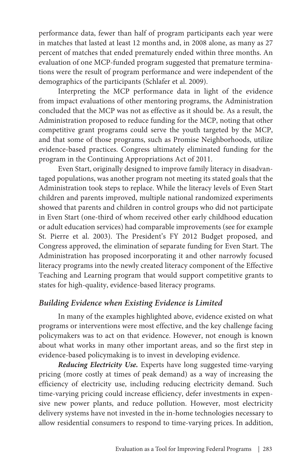performance data, fewer than half of program participants each year were in matches that lasted at least 12 months and, in 2008 alone, as many as 27 percent of matches that ended prematurely ended within three months. An evaluation of one MCP-funded program suggested that premature terminations were the result of program performance and were independent of the demographics of the participants (Schlafer et al. 2009).

Interpreting the MCP performance data in light of the evidence from impact evaluations of other mentoring programs, the Administration concluded that the MCP was not as effective as it should be. As a result, the Administration proposed to reduce funding for the MCP, noting that other competitive grant programs could serve the youth targeted by the MCP, and that some of those programs, such as Promise Neighborhoods, utilize evidence-based practices. Congress ultimately eliminated funding for the program in the Continuing Appropriations Act of 2011.

Even Start, originally designed to improve family literacy in disadvantaged populations, was another program not meeting its stated goals that the Administration took steps to replace. While the literacy levels of Even Start children and parents improved, multiple national randomized experiments showed that parents and children in control groups who did not participate in Even Start (one-third of whom received other early childhood education or adult education services) had comparable improvements (see for example St. Pierre et al. 2003). The President's FY 2012 Budget proposed, and Congress approved, the elimination of separate funding for Even Start. The Administration has proposed incorporating it and other narrowly focused literacy programs into the newly created literacy component of the Effective Teaching and Learning program that would support competitive grants to states for high-quality, evidence-based literacy programs.

#### *Building Evidence when Existing Evidence is Limited*

In many of the examples highlighted above, evidence existed on what programs or interventions were most effective, and the key challenge facing policymakers was to act on that evidence. However, not enough is known about what works in many other important areas, and so the first step in evidence-based policymaking is to invest in developing evidence.

*Reducing Electricity Use.* Experts have long suggested time-varying pricing (more costly at times of peak demand) as a way of increasing the efficiency of electricity use, including reducing electricity demand. Such time-varying pricing could increase efficiency, defer investments in expensive new power plants, and reduce pollution. However, most electricity delivery systems have not invested in the in-home technologies necessary to allow residential consumers to respond to time-varying prices. In addition,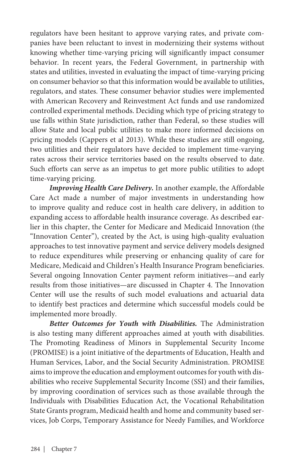regulators have been hesitant to approve varying rates, and private companies have been reluctant to invest in modernizing their systems without knowing whether time-varying pricing will significantly impact consumer behavior. In recent years, the Federal Government, in partnership with states and utilities, invested in evaluating the impact of time-varying pricing on consumer behavior so that this information would be available to utilities, regulators, and states. These consumer behavior studies were implemented with American Recovery and Reinvestment Act funds and use randomized controlled experimental methods. Deciding which type of pricing strategy to use falls within State jurisdiction, rather than Federal, so these studies will allow State and local public utilities to make more informed decisions on pricing models (Cappers et al 2013). While these studies are still ongoing, two utilities and their regulators have decided to implement time-varying rates across their service territories based on the results observed to date. Such efforts can serve as an impetus to get more public utilities to adopt time-varying pricing.

*Improving Health Care Delivery.* In another example, the Affordable Care Act made a number of major investments in understanding how to improve quality and reduce cost in health care delivery, in addition to expanding access to affordable health insurance coverage. As described earlier in this chapter, the Center for Medicare and Medicaid Innovation (the "Innovation Center"), created by the Act, is using high-quality evaluation approaches to test innovative payment and service delivery models designed to reduce expenditures while preserving or enhancing quality of care for Medicare, Medicaid and Children's Health Insurance Program beneficiaries. Several ongoing Innovation Center payment reform initiatives—and early results from those initiatives—are discussed in Chapter 4. The Innovation Center will use the results of such model evaluations and actuarial data to identify best practices and determine which successful models could be implemented more broadly.

*Better Outcomes for Youth with Disabilities.* The Administration is also testing many different approaches aimed at youth with disabilities. The Promoting Readiness of Minors in Supplemental Security Income (PROMISE) is a joint initiative of the departments of Education, Health and Human Services, Labor, and the Social Security Administration. PROMISE aims to improve the education and employment outcomes for youth with disabilities who receive Supplemental Security Income (SSI) and their families, by improving coordination of services such as those available through the Individuals with Disabilities Education Act, the Vocational Rehabilitation State Grants program, Medicaid health and home and community based services, Job Corps, Temporary Assistance for Needy Families, and Workforce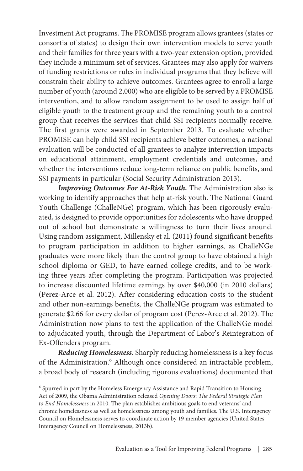Investment Act programs. The PROMISE program allows grantees (states or consortia of states) to design their own intervention models to serve youth and their families for three years with a two-year extension option, provided they include a minimum set of services. Grantees may also apply for waivers of funding restrictions or rules in individual programs that they believe will constrain their ability to achieve outcomes. Grantees agree to enroll a large number of youth (around 2,000) who are eligible to be served by a PROMISE intervention, and to allow random assignment to be used to assign half of eligible youth to the treatment group and the remaining youth to a control group that receives the services that child SSI recipients normally receive. The first grants were awarded in September 2013. To evaluate whether PROMISE can help child SSI recipients achieve better outcomes, a national evaluation will be conducted of all grantees to analyze intervention impacts on educational attainment, employment credentials and outcomes, and whether the interventions reduce long-term reliance on public benefits, and SSI payments in particular (Social Security Administration 2013).

*Improving Outcomes For At-Risk Youth.* The Administration also is working to identify approaches that help at-risk youth. The National Guard Youth Challenge (ChalleNGe) program, which has been rigorously evaluated, is designed to provide opportunities for adolescents who have dropped out of school but demonstrate a willingness to turn their lives around. Using random assignment, Millensky et al. (2011) found significant benefits to program participation in addition to higher earnings, as ChalleNGe graduates were more likely than the control group to have obtained a high school diploma or GED, to have earned college credits, and to be working three years after completing the program. Participation was projected to increase discounted lifetime earnings by over \$40,000 (in 2010 dollars) (Perez-Arce et al. 2012). After considering education costs to the student and other non-earnings benefits, the ChalleNGe program was estimated to generate \$2.66 for every dollar of program cost (Perez-Arce et al. 2012). The Administration now plans to test the application of the ChalleNGe model to adjudicated youth, through the Department of Labor's Reintegration of Ex-Offenders program.

*Reducing Homelessness*. Sharply reducing homelessness is a key focus of the Administration.<sup>6</sup> Although once considered an intractable problem, a broad body of research (including rigorous evaluations) documented that

<sup>6</sup> Spurred in part by the Homeless Emergency Assistance and Rapid Transition to Housing Act of 2009, the Obama Administration released *Opening Doors*: *The Federal Strategic Plan to End Homelessness* in 2010. The plan establishes ambitious goals to end veterans' and chronic homelessness as well as homelessness among youth and families. The U.S. Interagency Council on Homelessness serves to coordinate action by 19 member agencies (United States Interagency Council on Homelessness, 2013b).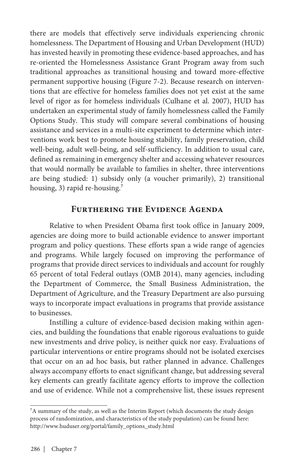there are models that effectively serve individuals experiencing chronic homelessness. The Department of Housing and Urban Development (HUD) has invested heavily in promoting these evidence-based approaches, and has re-oriented the Homelessness Assistance Grant Program away from such traditional approaches as transitional housing and toward more-effective permanent supportive housing (Figure 7-2). Because research on interventions that are effective for homeless families does not yet exist at the same level of rigor as for homeless individuals (Culhane et al. 2007), HUD has undertaken an experimental study of family homelessness called the Family Options Study. This study will compare several combinations of housing assistance and services in a multi-site experiment to determine which interventions work best to promote housing stability, family preservation, child well-being, adult well-being, and self-sufficiency. In addition to usual care, defined as remaining in emergency shelter and accessing whatever resources that would normally be available to families in shelter, three interventions are being studied: 1) subsidy only (a voucher primarily), 2) transitional housing, 3) rapid re-housing.<sup>7</sup>

#### **Furthering the Evidence Agenda**

Relative to when President Obama first took office in January 2009, agencies are doing more to build actionable evidence to answer important program and policy questions. These efforts span a wide range of agencies and programs. While largely focused on improving the performance of programs that provide direct services to individuals and account for roughly 65 percent of total Federal outlays (OMB 2014), many agencies, including the Department of Commerce, the Small Business Administration, the Department of Agriculture, and the Treasury Department are also pursuing ways to incorporate impact evaluations in programs that provide assistance to businesses.

Instilling a culture of evidence-based decision making within agencies, and building the foundations that enable rigorous evaluations to guide new investments and drive policy, is neither quick nor easy. Evaluations of particular interventions or entire programs should not be isolated exercises that occur on an ad hoc basis, but rather planned in advance. Challenges always accompany efforts to enact significant change, but addressing several key elements can greatly facilitate agency efforts to improve the collection and use of evidence. While not a comprehensive list, these issues represent

<sup>7</sup>A summary of the study, as well as the Interim Report (which documents the study design process of randomization, and characteristics of the study population) can be found here: http://www.huduser.org/portal/family\_options\_study.html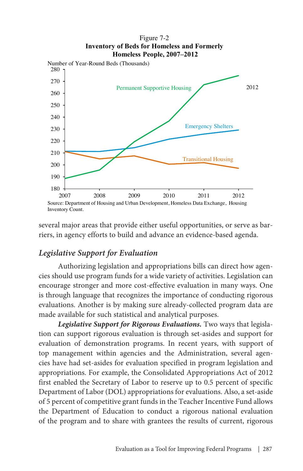Figure 7-2 **Inventory of Beds for Homeless and Formerly Homeless People, 2007‒2012**



several major areas that provide either useful opportunities, or serve as barriers, in agency efforts to build and advance an evidence-based agenda.

#### *Legislative Support for Evaluation*

Authorizing legislation and appropriations bills can direct how agencies should use program funds for a wide variety of activities. Legislation can encourage stronger and more cost-effective evaluation in many ways. One is through language that recognizes the importance of conducting rigorous evaluations. Another is by making sure already-collected program data are made available for such statistical and analytical purposes.

*Legislative Support for Rigorous Evaluations.* Two ways that legislation can support rigorous evaluation is through set-asides and support for evaluation of demonstration programs. In recent years, with support of top management within agencies and the Administration, several agencies have had set-asides for evaluation specified in program legislation and appropriations. For example, the Consolidated Appropriations Act of 2012 first enabled the Secretary of Labor to reserve up to 0.5 percent of specific Department of Labor (DOL) appropriations for evaluations. Also, a set-aside of 5 percent of competitive grant funds in the Teacher Incentive Fund allows the Department of Education to conduct a rigorous national evaluation of the program and to share with grantees the results of current, rigorous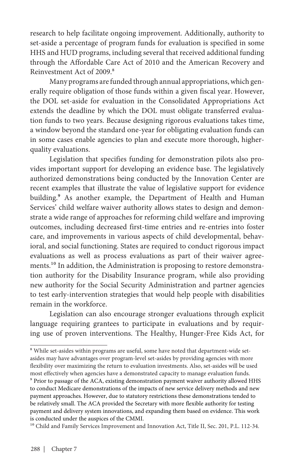research to help facilitate ongoing improvement. Additionally, authority to set-aside a percentage of program funds for evaluation is specified in some HHS and HUD programs, including several that received additional funding through the Affordable Care Act of 2010 and the American Recovery and Reinvestment Act of 2009.<sup>8</sup>

Many programs are funded through annual appropriations, which generally require obligation of those funds within a given fiscal year. However, the DOL set-aside for evaluation in the Consolidated Appropriations Act extends the deadline by which the DOL must obligate transferred evaluation funds to two years. Because designing rigorous evaluations takes time, a window beyond the standard one-year for obligating evaluation funds can in some cases enable agencies to plan and execute more thorough, higherquality evaluations.

Legislation that specifies funding for demonstration pilots also provides important support for developing an evidence base. The legislatively authorized demonstrations being conducted by the Innovation Center are recent examples that illustrate the value of legislative support for evidence building.<sup>9</sup> As another example, the Department of Health and Human Services' child welfare waiver authority allows states to design and demonstrate a wide range of approaches for reforming child welfare and improving outcomes, including decreased first-time entries and re-entries into foster care, and improvements in various aspects of child developmental, behavioral, and social functioning. States are required to conduct rigorous impact evaluations as well as process evaluations as part of their waiver agreements.<sup>10</sup> In addition, the Administration is proposing to restore demonstration authority for the Disability Insurance program, while also providing new authority for the Social Security Administration and partner agencies to test early-intervention strategies that would help people with disabilities remain in the workforce.

Legislation can also encourage stronger evaluations through explicit language requiring grantees to participate in evaluations and by requiring use of proven interventions. The Healthy, Hunger-Free Kids Act, for

<sup>&</sup>lt;sup>8</sup> While set-asides within programs are useful, some have noted that department-wide setasides may have advantages over program-level set-asides by providing agencies with more flexibility over maximizing the return to evaluation investments. Also, set-asides will be used most effectively when agencies have a demonstrated capacity to manage evaluation funds.

<sup>9</sup> Prior to passage of the ACA, existing demonstration payment waiver authority allowed HHS to conduct Medicare demonstrations of the impacts of new service delivery methods and new payment approaches. However, due to statutory restrictions these demonstrations tended to be relatively small. The ACA provided the Secretary with more flexible authority for testing payment and delivery system innovations, and expanding them based on evidence. This work is conducted under the auspices of the CMMI.

<sup>&</sup>lt;sup>10</sup> Child and Family Services Improvement and Innovation Act, Title II, Sec. 201, P.L. 112-34.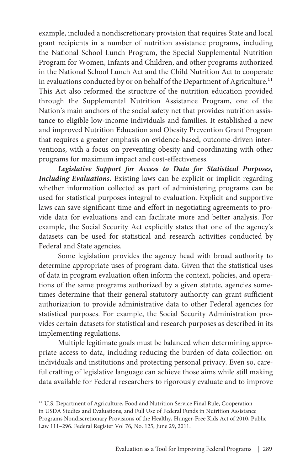example, included a nondiscretionary provision that requires State and local grant recipients in a number of nutrition assistance programs, including the National School Lunch Program, the Special Supplemental Nutrition Program for Women, Infants and Children, and other programs authorized in the National School Lunch Act and the Child Nutrition Act to cooperate in evaluations conducted by or on behalf of the Department of Agriculture.<sup>11</sup> This Act also reformed the structure of the nutrition education provided through the Supplemental Nutrition Assistance Program, one of the Nation's main anchors of the social safety net that provides nutrition assistance to eligible low-income individuals and families. It established a new and improved Nutrition Education and Obesity Prevention Grant Program that requires a greater emphasis on evidence-based, outcome-driven interventions, with a focus on preventing obesity and coordinating with other programs for maximum impact and cost-effectiveness.

*Legislative Support for Access to Data for Statistical Purposes, Including Evaluations.* Existing laws can be explicit or implicit regarding whether information collected as part of administering programs can be used for statistical purposes integral to evaluation. Explicit and supportive laws can save significant time and effort in negotiating agreements to provide data for evaluations and can facilitate more and better analysis. For example, the Social Security Act explicitly states that one of the agency's datasets can be used for statistical and research activities conducted by Federal and State agencies.

Some legislation provides the agency head with broad authority to determine appropriate uses of program data. Given that the statistical uses of data in program evaluation often inform the context, policies, and operations of the same programs authorized by a given statute, agencies sometimes determine that their general statutory authority can grant sufficient authorization to provide administrative data to other Federal agencies for statistical purposes. For example, the Social Security Administration provides certain datasets for statistical and research purposes as described in its implementing regulations.

Multiple legitimate goals must be balanced when determining appropriate access to data, including reducing the burden of data collection on individuals and institutions and protecting personal privacy. Even so, careful crafting of legislative language can achieve those aims while still making data available for Federal researchers to rigorously evaluate and to improve

<sup>&</sup>lt;sup>11</sup> U.S. Department of Agriculture, Food and Nutrition Service Final Rule, Cooperation in USDA Studies and Evaluations, and Full Use of Federal Funds in Nutrition Assistance Programs Nondiscretionary Provisions of the Healthy, Hunger-Free Kids Act of 2010, Public Law 111–296. Federal Register Vol 76, No. 125, June 29, 2011.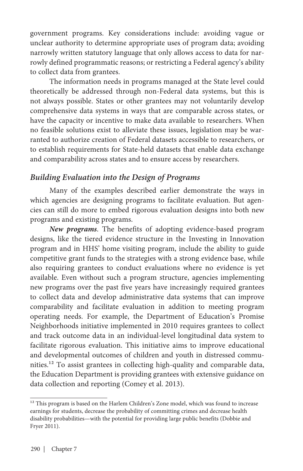government programs. Key considerations include: avoiding vague or unclear authority to determine appropriate uses of program data; avoiding narrowly written statutory language that only allows access to data for narrowly defined programmatic reasons; or restricting a Federal agency's ability to collect data from grantees.

The information needs in programs managed at the State level could theoretically be addressed through non-Federal data systems, but this is not always possible. States or other grantees may not voluntarily develop comprehensive data systems in ways that are comparable across states, or have the capacity or incentive to make data available to researchers. When no feasible solutions exist to alleviate these issues, legislation may be warranted to authorize creation of Federal datasets accessible to researchers, or to establish requirements for State-held datasets that enable data exchange and comparability across states and to ensure access by researchers.

#### *Building Evaluation into the Design of Programs*

Many of the examples described earlier demonstrate the ways in which agencies are designing programs to facilitate evaluation. But agencies can still do more to embed rigorous evaluation designs into both new programs and existing programs.

*New programs*. The benefits of adopting evidence-based program designs, like the tiered evidence structure in the Investing in Innovation program and in HHS' home visiting program, include the ability to guide competitive grant funds to the strategies with a strong evidence base, while also requiring grantees to conduct evaluations where no evidence is yet available. Even without such a program structure, agencies implementing new programs over the past five years have increasingly required grantees to collect data and develop administrative data systems that can improve comparability and facilitate evaluation in addition to meeting program operating needs. For example, the Department of Education's Promise Neighborhoods initiative implemented in 2010 requires grantees to collect and track outcome data in an individual-level longitudinal data system to facilitate rigorous evaluation. This initiative aims to improve educational and developmental outcomes of children and youth in distressed communities.<sup>12</sup> To assist grantees in collecting high-quality and comparable data, the Education Department is providing grantees with extensive guidance on data collection and reporting (Comey et al. 2013).

<sup>&</sup>lt;sup>12</sup> This program is based on the Harlem Children's Zone model, which was found to increase earnings for students, decrease the probability of committing crimes and decrease health disability probabilities—with the potential for providing large public benefits (Dobbie and Fryer 2011).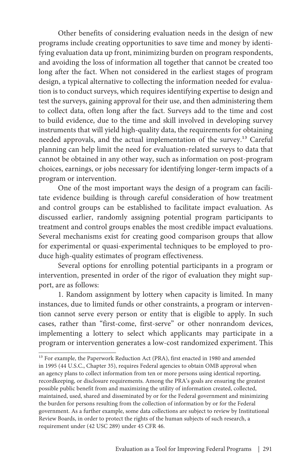Other benefits of considering evaluation needs in the design of new programs include creating opportunities to save time and money by identifying evaluation data up front, minimizing burden on program respondents, and avoiding the loss of information all together that cannot be created too long after the fact. When not considered in the earliest stages of program design, a typical alternative to collecting the information needed for evaluation is to conduct surveys, which requires identifying expertise to design and test the surveys, gaining approval for their use, and then administering them to collect data, often long after the fact. Surveys add to the time and cost to build evidence, due to the time and skill involved in developing survey instruments that will yield high-quality data, the requirements for obtaining needed approvals, and the actual implementation of the survey.13 Careful planning can help limit the need for evaluation-related surveys to data that cannot be obtained in any other way, such as information on post-program choices, earnings, or jobs necessary for identifying longer-term impacts of a program or intervention.

One of the most important ways the design of a program can facilitate evidence building is through careful consideration of how treatment and control groups can be established to facilitate impact evaluation. As discussed earlier, randomly assigning potential program participants to treatment and control groups enables the most credible impact evaluations. Several mechanisms exist for creating good comparison groups that allow for experimental or quasi-experimental techniques to be employed to produce high-quality estimates of program effectiveness.

Several options for enrolling potential participants in a program or intervention, presented in order of the rigor of evaluation they might support, are as follows:

1. Random assignment by lottery when capacity is limited. In many instances, due to limited funds or other constraints, a program or intervention cannot serve every person or entity that is eligible to apply. In such cases, rather than "first-come, first-serve" or other nonrandom devices, implementing a lottery to select which applicants may participate in a program or intervention generates a low-cost randomized experiment. This

<sup>&</sup>lt;sup>13</sup> For example, the Paperwork Reduction Act (PRA), first enacted in 1980 and amended in 1995 (44 U.S.C., Chapter 35), requires Federal agencies to obtain OMB approval when an agency plans to collect information from ten or more persons using identical reporting, recordkeeping, or disclosure requirements. Among the PRA's goals are ensuring the greatest possible public benefit from and maximizing the utility of information created, collected, maintained, used, shared and disseminated by or for the Federal government and minimizing the burden for persons resulting from the collection of information by or for the Federal government. As a further example, some data collections are subject to review by Institutional Review Boards, in order to protect the rights of the human subjects of such research, a requirement under (42 USC 289) under 45 CFR 46.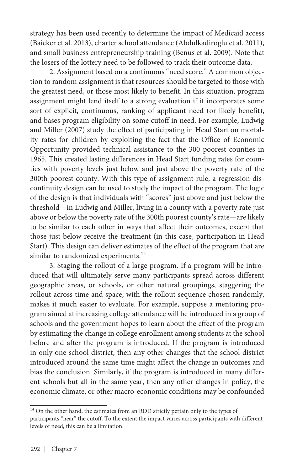strategy has been used recently to determine the impact of Medicaid access (Baicker et al. 2013), charter school attendance (Abdulkadiroglu et al. 2011), and small business entrepreneurship training (Benus et al. 2009). Note that the losers of the lottery need to be followed to track their outcome data.

2. Assignment based on a continuous "need score." A common objection to random assignment is that resources should be targeted to those with the greatest need, or those most likely to benefit. In this situation, program assignment might lend itself to a strong evaluation if it incorporates some sort of explicit, continuous, ranking of applicant need (or likely benefit), and bases program eligibility on some cutoff in need. For example, Ludwig and Miller (2007) study the effect of participating in Head Start on mortality rates for children by exploiting the fact that the Office of Economic Opportunity provided technical assistance to the 300 poorest counties in 1965. This created lasting differences in Head Start funding rates for counties with poverty levels just below and just above the poverty rate of the 300th poorest county. With this type of assignment rule, a regression discontinuity design can be used to study the impact of the program. The logic of the design is that individuals with "scores" just above and just below the threshold—in Ludwig and Miller, living in a county with a poverty rate just above or below the poverty rate of the 300th poorest county's rate—are likely to be similar to each other in ways that affect their outcomes, except that those just below receive the treatment (in this case, participation in Head Start). This design can deliver estimates of the effect of the program that are similar to randomized experiments.<sup>14</sup>

3. Staging the rollout of a large program. If a program will be introduced that will ultimately serve many participants spread across different geographic areas, or schools, or other natural groupings, staggering the rollout across time and space, with the rollout sequence chosen randomly, makes it much easier to evaluate. For example, suppose a mentoring program aimed at increasing college attendance will be introduced in a group of schools and the government hopes to learn about the effect of the program by estimating the change in college enrollment among students at the school before and after the program is introduced. If the program is introduced in only one school district, then any other changes that the school district introduced around the same time might affect the change in outcomes and bias the conclusion. Similarly, if the program is introduced in many different schools but all in the same year, then any other changes in policy, the economic climate, or other macro-economic conditions may be confounded

<sup>&</sup>lt;sup>14</sup> On the other hand, the estimates from an RDD strictly pertain only to the types of participants "near" the cutoff. To the extent the impact varies across participants with different levels of need, this can be a limitation.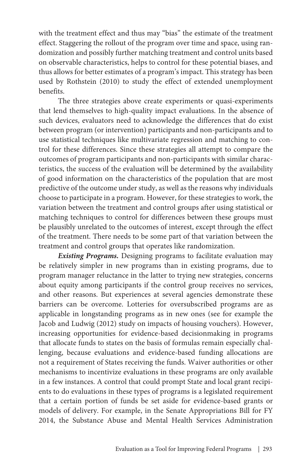with the treatment effect and thus may "bias" the estimate of the treatment effect. Staggering the rollout of the program over time and space, using randomization and possibly further matching treatment and control units based on observable characteristics, helps to control for these potential biases, and thus allows for better estimates of a program's impact. This strategy has been used by Rothstein (2010) to study the effect of extended unemployment benefits.

The three strategies above create experiments or quasi-experiments that lend themselves to high-quality impact evaluations. In the absence of such devices, evaluators need to acknowledge the differences that do exist between program (or intervention) participants and non-participants and to use statistical techniques like multivariate regression and matching to control for these differences. Since these strategies all attempt to compare the outcomes of program participants and non-participants with similar characteristics, the success of the evaluation will be determined by the availability of good information on the characteristics of the population that are most predictive of the outcome under study, as well as the reasons why individuals choose to participate in a program. However, for these strategies to work, the variation between the treatment and control groups after using statistical or matching techniques to control for differences between these groups must be plausibly unrelated to the outcomes of interest, except through the effect of the treatment. There needs to be some part of that variation between the treatment and control groups that operates like randomization.

*Existing Programs.* Designing programs to facilitate evaluation may be relatively simpler in new programs than in existing programs, due to program manager reluctance in the latter to trying new strategies, concerns about equity among participants if the control group receives no services, and other reasons. But experiences at several agencies demonstrate these barriers can be overcome. Lotteries for oversubscribed programs are as applicable in longstanding programs as in new ones (see for example the Jacob and Ludwig (2012) study on impacts of housing vouchers). However, increasing opportunities for evidence-based decisionmaking in programs that allocate funds to states on the basis of formulas remain especially challenging, because evaluations and evidence-based funding allocations are not a requirement of States receiving the funds. Waiver authorities or other mechanisms to incentivize evaluations in these programs are only available in a few instances. A control that could prompt State and local grant recipients to do evaluations in these types of programs is a legislated requirement that a certain portion of funds be set aside for evidence-based grants or models of delivery. For example, in the Senate Appropriations Bill for FY 2014, the Substance Abuse and Mental Health Services Administration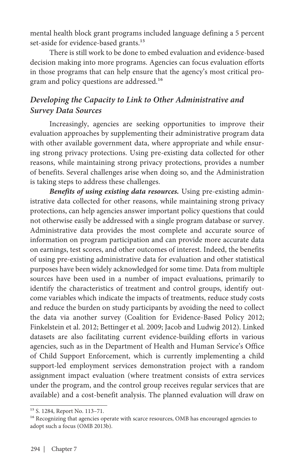mental health block grant programs included language defining a 5 percent set-aside for evidence-based grants.<sup>15</sup>

There is still work to be done to embed evaluation and evidence-based decision making into more programs. Agencies can focus evaluation efforts in those programs that can help ensure that the agency's most critical program and policy questions are addressed.<sup>16</sup>

## *Developing the Capacity to Link to Other Administrative and Survey Data Sources*

Increasingly, agencies are seeking opportunities to improve their evaluation approaches by supplementing their administrative program data with other available government data, where appropriate and while ensuring strong privacy protections. Using pre-existing data collected for other reasons, while maintaining strong privacy protections, provides a number of benefits. Several challenges arise when doing so, and the Administration is taking steps to address these challenges.

*Benefits of using existing data resources.* Using pre-existing administrative data collected for other reasons, while maintaining strong privacy protections, can help agencies answer important policy questions that could not otherwise easily be addressed with a single program database or survey. Administrative data provides the most complete and accurate source of information on program participation and can provide more accurate data on earnings, test scores, and other outcomes of interest. Indeed, the benefits of using pre-existing administrative data for evaluation and other statistical purposes have been widely acknowledged for some time. Data from multiple sources have been used in a number of impact evaluations, primarily to identify the characteristics of treatment and control groups, identify outcome variables which indicate the impacts of treatments, reduce study costs and reduce the burden on study participants by avoiding the need to collect the data via another survey (Coalition for Evidence-Based Policy 2012; Finkelstein et al. 2012; Bettinger et al. 2009; Jacob and Ludwig 2012). Linked datasets are also facilitating current evidence-building efforts in various agencies, such as in the Department of Health and Human Service's Office of Child Support Enforcement, which is currently implementing a child support-led employment services demonstration project with a random assignment impact evaluation (where treatment consists of extra services under the program, and the control group receives regular services that are available) and a cost-benefit analysis. The planned evaluation will draw on

<sup>15</sup> S. 1284, Report No. 113–71.

<sup>&</sup>lt;sup>16</sup> Recognizing that agencies operate with scarce resources, OMB has encouraged agencies to adopt such a focus (OMB 2013b).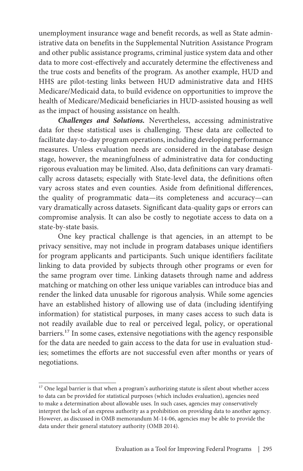unemployment insurance wage and benefit records, as well as State administrative data on benefits in the Supplemental Nutrition Assistance Program and other public assistance programs, criminal justice system data and other data to more cost-effectively and accurately determine the effectiveness and the true costs and benefits of the program. As another example, HUD and HHS are pilot-testing links between HUD administrative data and HHS Medicare/Medicaid data, to build evidence on opportunities to improve the health of Medicare/Medicaid beneficiaries in HUD-assisted housing as well as the impact of housing assistance on health.

*Challenges and Solutions.* Nevertheless, accessing administrative data for these statistical uses is challenging. These data are collected to facilitate day-to-day program operations, including developing performance measures. Unless evaluation needs are considered in the database design stage, however, the meaningfulness of administrative data for conducting rigorous evaluation may be limited. Also, data definitions can vary dramatically across datasets; especially with State-level data, the definitions often vary across states and even counties. Aside from definitional differences, the quality of programmatic data—its completeness and accuracy—can vary dramatically across datasets. Significant data-quality gaps or errors can compromise analysis. It can also be costly to negotiate access to data on a state-by-state basis.

One key practical challenge is that agencies, in an attempt to be privacy sensitive, may not include in program databases unique identifiers for program applicants and participants. Such unique identifiers facilitate linking to data provided by subjects through other programs or even for the same program over time. Linking datasets through name and address matching or matching on other less unique variables can introduce bias and render the linked data unusable for rigorous analysis. While some agencies have an established history of allowing use of data (including identifying information) for statistical purposes, in many cases access to such data is not readily available due to real or perceived legal, policy, or operational barriers.<sup>17</sup> In some cases, extensive negotiations with the agency responsible for the data are needed to gain access to the data for use in evaluation studies; sometimes the efforts are not successful even after months or years of negotiations.

<sup>&</sup>lt;sup>17</sup> One legal barrier is that when a program's authorizing statute is silent about whether access to data can be provided for statistical purposes (which includes evaluation), agencies need to make a determination about allowable uses. In such cases, agencies may conservatively interpret the lack of an express authority as a prohibition on providing data to another agency. However, as discussed in OMB memorandum M-14-06, agencies may be able to provide the data under their general statutory authority (OMB 2014).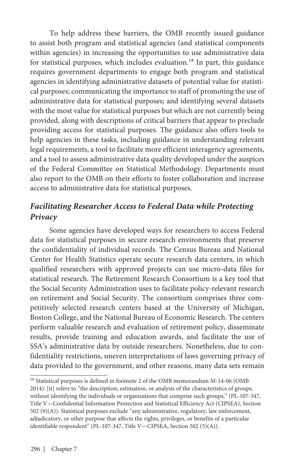To help address these barriers, the OMB recently issued guidance to assist both program and statistical agencies (and statistical components within agencies) in increasing the opportunities to use administrative data for statistical purposes, which includes evaluation.<sup>18</sup> In part, this guidance requires government departments to engage both program and statistical agencies in identifying administrative datasets of potential value for statistical purposes; communicating the importance to staff of promoting the use of administrative data for statistical purposes; and identifying several datasets with the most value for statistical purposes but which are not currently being provided, along with descriptions of critical barriers that appear to preclude providing access for statistical purposes. The guidance also offers tools to help agencies in these tasks, including guidance in understanding relevant legal requirements, a tool to facilitate more efficient interagency agreements, and a tool to assess administrative data quality developed under the auspices of the Federal Committee on Statistical Methodology. Departments must also report to the OMB on their efforts to foster collaboration and increase access to administrative data for statistical purposes.

### *Facilitating Researcher Access to Federal Data while Protecting Privacy*

Some agencies have developed ways for researchers to access Federal data for statistical purposes in secure research environments that preserve the confidentiality of individual records. The Census Bureau and National Center for Health Statistics operate secure research data centers, in which qualified researchers with approved projects can use micro-data files for statistical research. The Retirement Research Consortium is a key tool that the Social Security Administration uses to facilitate policy-relevant research on retirement and Social Security. The consortium comprises three competitively selected research centers based at the University of Michigan, Boston College, and the National Bureau of Economic Research. The centers perform valuable research and evaluation of retirement policy, disseminate results, provide training and education awards, and facilitate the use of SSA's administrative data by outside researchers. Nonetheless, due to confidentiality restrictions, uneven interpretations of laws governing privacy of data provided to the government, and other reasons, many data sets remain

<sup>&</sup>lt;sup>18</sup> Statistical purposes is defined in footnote 2 of the OMB memorandum M-14-06 (OMB 2014): [it] refers to "the description, estimation, or analysis of the characteristics of groups, without identifying the individuals or organizations that comprise such groups," (PL-107-347, Title V—Confidential Information Protection and Statistical Efficiency Act (CIPSEA), Section 502 (9)(A)). Statistical purposes exclude "any administrative, regulatory, law enforcement, adjudicatory, or other purpose that affects the rights, privileges, or benefits of a particular identifiable respondent" (PL-107-347, Title V—CIPSEA, Section 502 (5)(A)).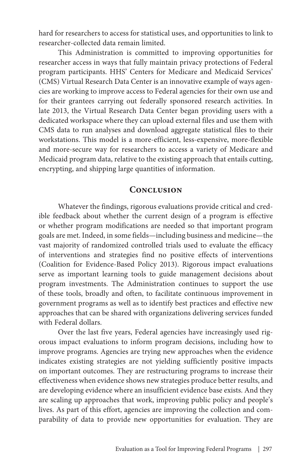hard for researchers to access for statistical uses, and opportunities to link to researcher-collected data remain limited.

This Administration is committed to improving opportunities for researcher access in ways that fully maintain privacy protections of Federal program participants. HHS' Centers for Medicare and Medicaid Services' (CMS) Virtual Research Data Center is an innovative example of ways agencies are working to improve access to Federal agencies for their own use and for their grantees carrying out federally sponsored research activities. In late 2013, the Virtual Research Data Center began providing users with a dedicated workspace where they can upload external files and use them with CMS data to run analyses and download aggregate statistical files to their workstations. This model is a more-efficient, less-expensive, more-flexible and more-secure way for researchers to access a variety of Medicare and Medicaid program data, relative to the existing approach that entails cutting, encrypting, and shipping large quantities of information.

#### **Conclusion**

Whatever the findings, rigorous evaluations provide critical and credible feedback about whether the current design of a program is effective or whether program modifications are needed so that important program goals are met. Indeed, in some fields—including business and medicine—the vast majority of randomized controlled trials used to evaluate the efficacy of interventions and strategies find no positive effects of interventions (Coalition for Evidence-Based Policy 2013). Rigorous impact evaluations serve as important learning tools to guide management decisions about program investments. The Administration continues to support the use of these tools, broadly and often, to facilitate continuous improvement in government programs as well as to identify best practices and effective new approaches that can be shared with organizations delivering services funded with Federal dollars.

Over the last five years, Federal agencies have increasingly used rigorous impact evaluations to inform program decisions, including how to improve programs. Agencies are trying new approaches when the evidence indicates existing strategies are not yielding sufficiently positive impacts on important outcomes. They are restructuring programs to increase their effectiveness when evidence shows new strategies produce better results, and are developing evidence where an insufficient evidence base exists. And they are scaling up approaches that work, improving public policy and people's lives. As part of this effort, agencies are improving the collection and comparability of data to provide new opportunities for evaluation. They are